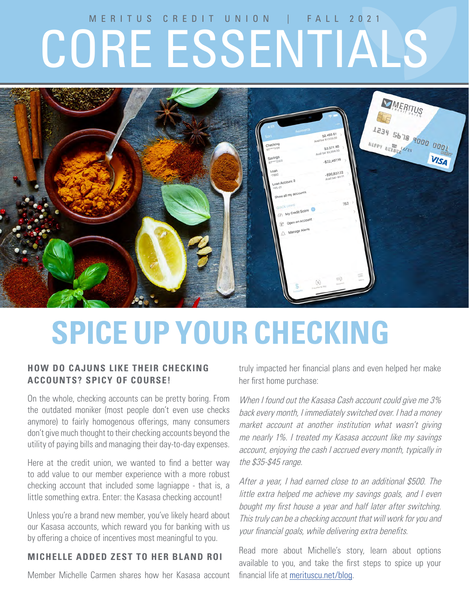# MERITUS CREDIT UNION | FALL 2021 CORE ESSENTIALS



# **SPICE UP YOUR CHECKING**

### **HOW DO CAJUNS LIKE THEIR CHECKING ACCOUNTS? SPICY OF COURSE!**

On the whole, checking accounts can be pretty boring. From the outdated moniker (most people don't even use checks anymore) to fairly homogenous offerings, many consumers don't give much thought to their checking accounts beyond the utility of paying bills and managing their day-to-day expenses.

Here at the credit union, we wanted to find a better way to add value to our member experience with a more robust checking account that included some lagniappe - that is, a little something extra. Enter: the Kasasa checking account!

Unless you're a brand new member, you've likely heard about our Kasasa accounts, which reward you for banking with us by offering a choice of incentives most meaningful to you.

### **MICHELLE ADDED ZEST TO HER BLAND ROI**

Member Michelle Carmen shares how her Kasasa account

truly impacted her financial plans and even helped her make her first home purchase:

When I found out the Kasasa Cash account could give me 3% back every month, I immediately switched over. I had a money market account at another institution what wasn't giving me nearly 1%. I treated my Kasasa account like my savings account, enjoying the cash I accrued every month, typically in the \$35-\$45 range.

After a year, I had earned close to an additional \$500. The little extra helped me achieve my savings goals, and I even bought my first house a year and half later after switching. This truly can be a checking account that will work for you and your financial goals, while delivering extra benefits.

Read more about Michelle's story, learn about options available to you, and take the first steps to spice up your financial life at merituscu.net/blog.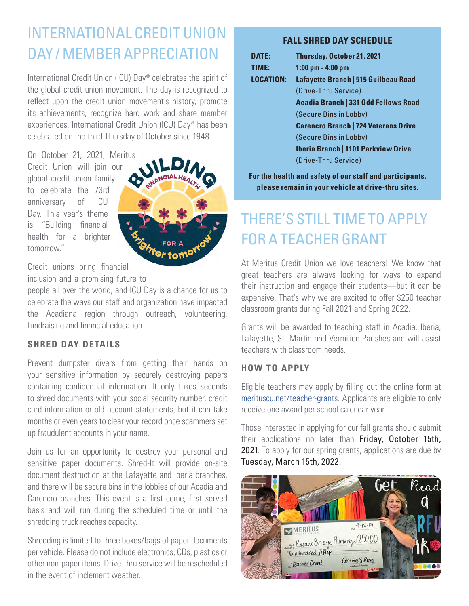# INTERNATIONAL CREDIT UNION DAY / MEMBER APPRECIATION

International Credit Union (ICU) Day® celebrates the spirit of the global credit union movement. The day is recognized to reflect upon the credit union movement's history, promote its achievements, recognize hard work and share member experiences. International Credit Union (ICU) Day® has been celebrated on the third Thursday of October since 1948.

On October 21, 2021, Meritus Credit Union will join our global credit union family to celebrate the 73rd anniversary of ICU Day. This year's theme is "Building financial health for a brighter tomorrow."



Credit unions bring financial

inclusion and a promising future to

people all over the world, and ICU Day is a chance for us to celebrate the ways our staff and organization have impacted the Acadiana region through outreach, volunteering, fundraising and financial education.

### **SHRED DAY DETAILS**

Prevent dumpster divers from getting their hands on your sensitive information by securely destroying papers containing confidential information. It only takes seconds to shred documents with your social security number, credit card information or old account statements, but it can take months or even years to clear your record once scammers set up fraudulent accounts in your name.

Join us for an opportunity to destroy your personal and sensitive paper documents. Shred-It will provide on-site document destruction at the Lafayette and Iberia branches, and there will be secure bins in the lobbies of our Acadia and Carencro branches. This event is a first come, first served basis and will run during the scheduled time or until the shredding truck reaches capacity.

Shredding is limited to three boxes/bags of paper documents per vehicle. Please do not include electronics, CDs, plastics or other non-paper items. Drive-thru service will be rescheduled in the event of inclement weather.

### **FALL SHRED DAY SCHEDULE**

| DATE:            | Thursday, October 21, 2021                  |
|------------------|---------------------------------------------|
| TIME:            | $1:00$ pm $- 4:00$ pm                       |
| <b>LOCATION:</b> | Lafayette Branch   515 Guilbeau Road        |
|                  | (Drive-Thru Service)                        |
|                  | <b>Acadia Branch   331 Odd Fellows Road</b> |
|                  | (Secure Bins in Lobby)                      |
|                  | <b>Carencro Branch   724 Veterans Drive</b> |
|                  | (Secure Bins in Lobby)                      |
|                  | <b>Iberia Branch   1101 Parkview Drive</b>  |
|                  | (Drive-Thru Service)                        |
|                  |                                             |

**For the health and safety of our staff and participants, please remain in your vehicle at drive-thru sites.**

# THERE'S STILL TIME TO APPLY FOR A TEACHER GRANT

At Meritus Credit Union we love teachers! We know that great teachers are always looking for ways to expand their instruction and engage their students—but it can be expensive. That's why we are excited to offer \$250 teacher classroom grants during Fall 2021 and Spring 2022.

Grants will be awarded to teaching staff in Acadia, Iberia, Lafayette, St. Martin and Vermilion Parishes and will assist teachers with classroom needs.

### **HOW TO APPLY**

Eligible teachers may apply by filling out the online form at merituscu.net/teacher-grants. Applicants are eligible to only receive one award per school calendar year.

Those interested in applying for our fall grants should submit their applications no later than Friday, October 15th, 2021. To apply for our spring grants, applications are due by Tuesday, March 15th, 2022.

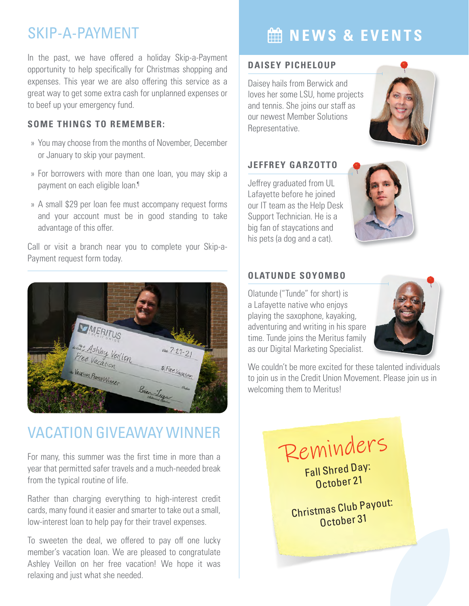### SKIP-A-PAYMENT

In the past, we have offered a holiday Skip-a-Payment opportunity to help specifically for Christmas shopping and expenses. This year we are also offering this service as a great way to get some extra cash for unplanned expenses or to beef up your emergency fund.

### **SOME THINGS TO REMEMBER:**

- » You may choose from the months of November, December or January to skip your payment.
- » For borrowers with more than one loan, you may skip a payment on each eligible loan.<sup>1</sup>
- » A small \$29 per loan fee must accompany request forms and your account must be in good standing to take advantage of this offer.

Call or visit a branch near you to complete your Skip-a-Payment request form today.



## VACATION GIVEAWAY WINNER

For many, this summer was the first time in more than a year that permitted safer travels and a much-needed break from the typical routine of life.

Rather than charging everything to high-interest credit cards, many found it easier and smarter to take out a small, low-interest loan to help pay for their travel expenses.

To sweeten the deal, we offered to pay off one lucky member's vacation loan. We are pleased to congratulate Ashley Veillon on her free vacation! We hope it was relaxing and just what she needed.

# **MINEWS & EVENTS**

### **DAISEY PICHELOUP**

Daisey hails from Berwick and loves her some LSU, home projects and tennis. She joins our staff as our newest Member Solutions Representative.

### **JEFFREY GARZOTTO**

Jeffrey graduated from UL Lafayette before he joined our IT team as the Help Desk Support Technician. He is a big fan of staycations and his pets (a dog and a cat).



### **OLATUNDE SOYOMBO**

Olatunde ("Tunde" for short) is a Lafayette native who enjoys playing the saxophone, kayaking, adventuring and writing in his spare time. Tunde joins the Meritus family as our Digital Marketing Specialist.



We couldn't be more excited for these talented individuals to join us in the Credit Union Movement. Please join us in welcoming them to Meritus!